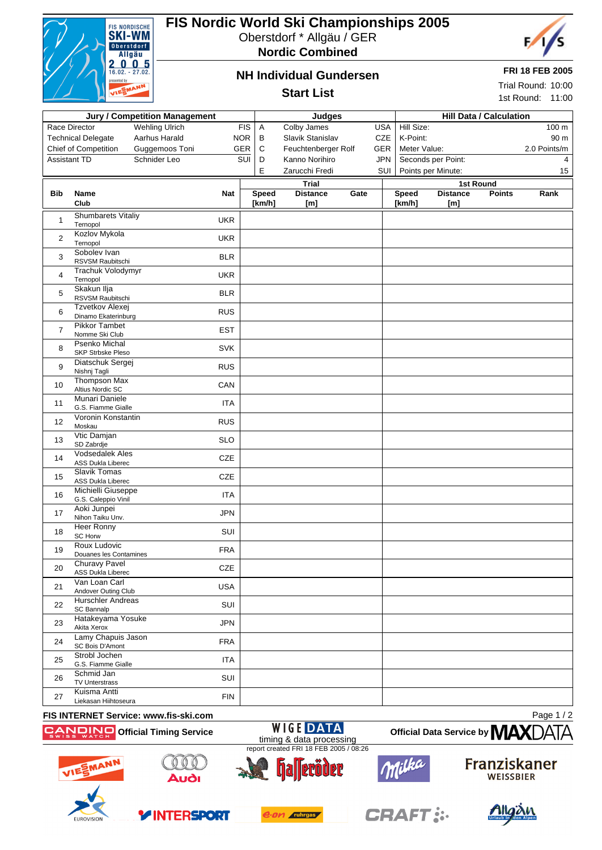

# **FIS Nordic World Ski Championships 2005**

Oberstdorf \* Allgäu / GER

**Nordic Combined**



#### **FRI 18 FEB 2005**

Trial Round: 10:00 1st Round: 11:00

#### **NH Individual Gundersen**

#### **Start List**

| <b>Jury / Competition Management</b> |                                                                |                       | Judges     |                        |                        |      | <b>Hill Data / Calculation</b> |                        |                        |               |              |
|--------------------------------------|----------------------------------------------------------------|-----------------------|------------|------------------------|------------------------|------|--------------------------------|------------------------|------------------------|---------------|--------------|
|                                      | Race Director                                                  | <b>Wehling Ulrich</b> | <b>FIS</b> | A                      | Colby James            |      | <b>USA</b>                     | Hill Size:             |                        |               | 100 m        |
|                                      | <b>Technical Delegate</b>                                      | Aarhus Harald         | <b>NOR</b> | В                      | Slavik Stanislav       |      | <b>CZE</b>                     | K-Point:               |                        |               | 90 m         |
|                                      | Chief of Competition                                           | Guggemoos Toni        | <b>GER</b> | C                      | Feuchtenberger Rolf    |      | <b>GER</b>                     | Meter Value:           |                        |               | 2.0 Points/m |
| Assistant TD                         |                                                                | Schnider Leo          | SUI        | D                      | Kanno Norihiro         |      | <b>JPN</b>                     |                        | Seconds per Point:     |               | 4            |
|                                      |                                                                |                       |            | Е                      | Zarucchi Fredi         |      | SUI                            |                        | Points per Minute:     |               | 15           |
|                                      |                                                                |                       |            |                        | <b>Trial</b>           |      |                                |                        | <b>1st Round</b>       |               |              |
| Bib                                  | Name<br>Club                                                   |                       | <b>Nat</b> | <b>Speed</b><br>[km/h] | <b>Distance</b><br>[m] | Gate |                                | <b>Speed</b><br>[km/h] | <b>Distance</b><br>[m] | <b>Points</b> | Rank         |
| $\mathbf{1}$                         | <b>Shumbarets Vitaliy</b><br>Ternopol                          |                       | <b>UKR</b> |                        |                        |      |                                |                        |                        |               |              |
| $\overline{c}$                       | Kozlov Mykola<br>Ternopol                                      |                       | <b>UKR</b> |                        |                        |      |                                |                        |                        |               |              |
| 3                                    | Sobolev Ivan<br>RSVSM Raubitschi                               |                       | <b>BLR</b> |                        |                        |      |                                |                        |                        |               |              |
| 4                                    | Trachuk Volodymyr<br>Ternopol                                  |                       | <b>UKR</b> |                        |                        |      |                                |                        |                        |               |              |
| 5                                    | Skakun Ilja<br>RSVSM Raubitschi                                |                       | <b>BLR</b> |                        |                        |      |                                |                        |                        |               |              |
| 6                                    | Tzvetkov Alexej<br>Dinamo Ekaterinburg<br><b>Pikkor Tambet</b> |                       | <b>RUS</b> |                        |                        |      |                                |                        |                        |               |              |
| $\overline{7}$                       | Nomme Ski Club<br>Psenko Michal                                |                       | <b>EST</b> |                        |                        |      |                                |                        |                        |               |              |
| 8                                    | <b>SKP Strbske Pleso</b><br>Diatschuk Sergej                   |                       | <b>SVK</b> |                        |                        |      |                                |                        |                        |               |              |
| 9                                    | Nishnj Tagli<br>Thompson Max                                   |                       | <b>RUS</b> |                        |                        |      |                                |                        |                        |               |              |
| 10                                   | Altius Nordic SC<br>Munari Daniele                             |                       | CAN        |                        |                        |      |                                |                        |                        |               |              |
| 11                                   | G.S. Fiamme Gialle<br>Voronin Konstantin                       |                       | <b>ITA</b> |                        |                        |      |                                |                        |                        |               |              |
| 12 <sup>2</sup>                      | Moskau<br>Vtic Damjan                                          |                       | <b>RUS</b> |                        |                        |      |                                |                        |                        |               |              |
| 13                                   | SD Zabrdje<br><b>Vodsedalek Ales</b>                           |                       | <b>SLO</b> |                        |                        |      |                                |                        |                        |               |              |
| 14                                   | <b>ASS Dukla Liberec</b><br><b>Slavik Tomas</b>                |                       | CZE        |                        |                        |      |                                |                        |                        |               |              |
| 15                                   | <b>ASS Dukla Liberec</b><br>Michielli Giuseppe                 |                       | CZE        |                        |                        |      |                                |                        |                        |               |              |
| 16                                   | G.S. Caleppio Vinil<br>Aoki Junpei                             |                       | <b>ITA</b> |                        |                        |      |                                |                        |                        |               |              |
| 17                                   | Nihon Taiku Unv.<br><b>Heer Ronny</b>                          |                       | <b>JPN</b> |                        |                        |      |                                |                        |                        |               |              |
| 18                                   | SC Horw<br>Roux Ludovic                                        |                       | SUI        |                        |                        |      |                                |                        |                        |               |              |
| 19                                   | Douanes les Contamines                                         |                       | <b>FRA</b> |                        |                        |      |                                |                        |                        |               |              |
| 20                                   | Churavy Pavel<br>ASS Dukla Liberec<br>Van Loan Carl            |                       | CZE        |                        |                        |      |                                |                        |                        |               |              |
| 21                                   | Andover Outing Club<br>Hurschler Andreas                       |                       | <b>USA</b> |                        |                        |      |                                |                        |                        |               |              |
| 22                                   | SC Bannalp                                                     |                       | SUI        |                        |                        |      |                                |                        |                        |               |              |
| 23                                   | Hatakeyama Yosuke<br>Akita Xerox                               |                       | <b>JPN</b> |                        |                        |      |                                |                        |                        |               |              |
| 24                                   | Lamy Chapuis Jason<br>SC Bois D'Amont                          |                       | <b>FRA</b> |                        |                        |      |                                |                        |                        |               |              |
| 25                                   | Strobl Jochen<br>G.S. Fiamme Gialle                            |                       | <b>ITA</b> |                        |                        |      |                                |                        |                        |               |              |
| 26                                   | Schmid Jan<br>TV Unterstrass                                   |                       | SUI        |                        |                        |      |                                |                        |                        |               |              |
| 27                                   | Kuisma Antti<br>Liekasan Hiihtoseura                           |                       | <b>FIN</b> |                        |                        |      |                                |                        |                        |               |              |
| <b>IO INT</b>                        |                                                                |                       |            |                        |                        |      |                                |                        |                        |               |              |

#### **FIS INTERNET Service: www.fis-ski.com OF A RUMP Official Timing Service**

Page 1 / 2





**YINTERSPORT** 





**Franziskaner WEISSBIER** 

**Official Data Service by MAX**